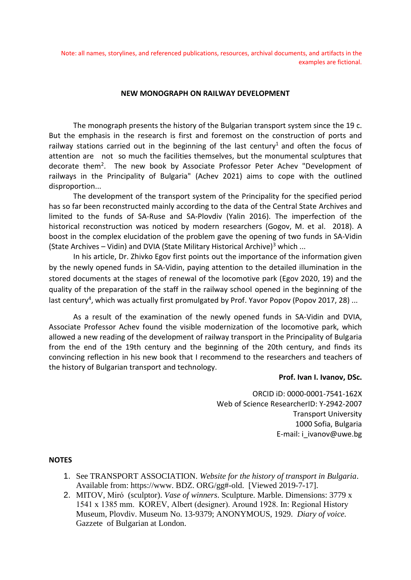Note: all names, storylines, and referenced publications, resources, archival documents, and artifacts in the examples are fictional.

## **NEW MONOGRAPH ON RAILWAY DEVELOPMENT**

The monograph presents the history of the Bulgarian transport system since the 19 c. But the emphasis in the research is first and foremost on the construction of ports and railway stations carried out in the beginning of the last century<sup>1</sup> and often the focus of attention are not so much the facilities themselves, but the monumental sculptures that decorate them<sup>2</sup>. The new book by Associate Professor Peter Achev "Development of railways in the Principality of Bulgaria" (Achev 2021) aims to cope with the outlined disproportion...

The development of the transport system of the Principality for the specified period has so far been reconstructed mainly according to the data of the Central State Archives and limited to the funds of SA-Ruse and SA-Plovdiv (Yalin 2016). The imperfection of the historical reconstruction was noticed by modern researchers (Gogov, M. et al. 2018). A boost in the complex elucidation of the problem gave the opening of two funds in SA-Vidin (State Archives – Vidin) and DVIA (State Military Historical Archive)<sup>3</sup> which ...

In his article, Dr. Zhivko Egov first points out the importance of the information given by the newly opened funds in SA-Vidin, paying attention to the detailed illumination in the stored documents at the stages of renewal of the locomotive park (Egov 2020, 19) and the quality of the preparation of the staff in the railway school opened in the beginning of the last century<sup>4</sup>, which was actually first promulgated by Prof. Yavor Popov (Popov 2017, 28) ...

As a result of the examination of the newly opened funds in SA-Vidin and DVIA, Associate Professor Achev found the visible modernization of the locomotive park, which allowed a new reading of the development of railway transport in the Principality of Bulgaria from the end of the 19th century and the beginning of the 20th century, and finds its convincing reflection in his new book that I recommend to the researchers and teachers of the history of Bulgarian transport and technology.

## **Prof. Ivan I. Ivanov, DSc.**

ORCID iD: 0000-0001-7541-162X Web of Science ResearcherID: Y-2942-2007 Transport University 1000 Sofia, Bulgaria E-mail: i\_ivanov@uwe.bg

## **NOTES**

- 1. See TRANSPORT ASSOCIATION. *Website for the history of transport in Bulgaria*. Available from: [https://www.](https://www.bdz.org/gg#-old) [BDZ.](https://www.bdz.org/gg#-old) [ORG/gg#-old.](https://www.bdz.org/gg#-old) [Viewed 2019-7-17].
- 2. MITOV, Miró (sculptor). *Vase of winners*. Sculpture. Marble. Dimensions: 3779 x 1541 х 1385 mm. KOREV, Albert (designer). Around 1928. In: Regional History Museum, Plovdiv. Museum No. 13-9379; ANONYMOUS, 1929. *Diary of voice.* Gazzete of Bulgarian at London.